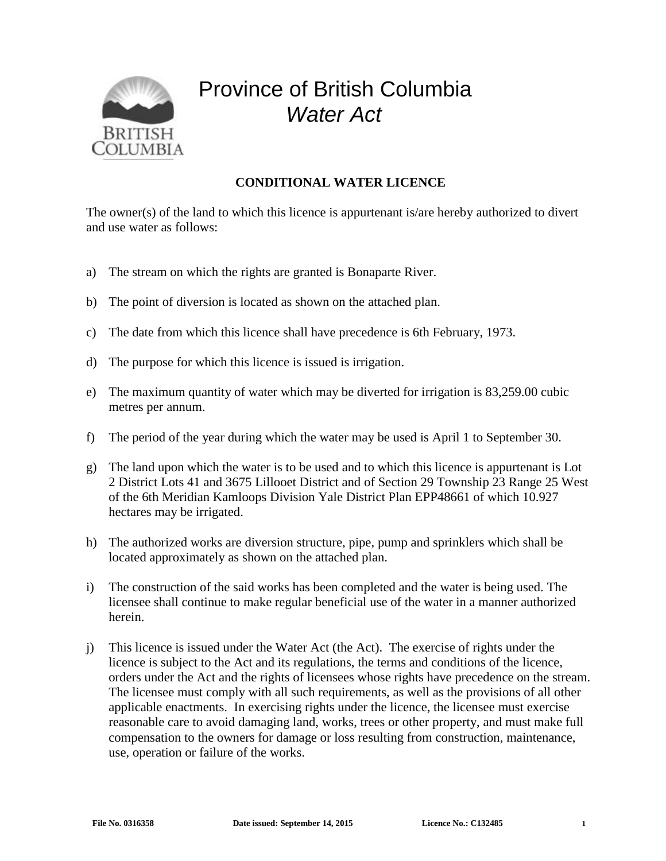

## Province of British Columbia *Water Act*

## **CONDITIONAL WATER LICENCE**

The owner(s) of the land to which this licence is appurtenant is/are hereby authorized to divert and use water as follows:

- a) The stream on which the rights are granted is Bonaparte River.
- b) The point of diversion is located as shown on the attached plan.
- c) The date from which this licence shall have precedence is 6th February, 1973.
- d) The purpose for which this licence is issued is irrigation.
- e) The maximum quantity of water which may be diverted for irrigation is 83,259.00 cubic metres per annum.
- f) The period of the year during which the water may be used is April 1 to September 30.
- g) The land upon which the water is to be used and to which this licence is appurtenant is Lot 2 District Lots 41 and 3675 Lillooet District and of Section 29 Township 23 Range 25 West of the 6th Meridian Kamloops Division Yale District Plan EPP48661 of which 10.927 hectares may be irrigated.
- h) The authorized works are diversion structure, pipe, pump and sprinklers which shall be located approximately as shown on the attached plan.
- i) The construction of the said works has been completed and the water is being used. The licensee shall continue to make regular beneficial use of the water in a manner authorized herein.
- j) This licence is issued under the Water Act (the Act). The exercise of rights under the licence is subject to the Act and its regulations, the terms and conditions of the licence, orders under the Act and the rights of licensees whose rights have precedence on the stream. The licensee must comply with all such requirements, as well as the provisions of all other applicable enactments. In exercising rights under the licence, the licensee must exercise reasonable care to avoid damaging land, works, trees or other property, and must make full compensation to the owners for damage or loss resulting from construction, maintenance, use, operation or failure of the works.